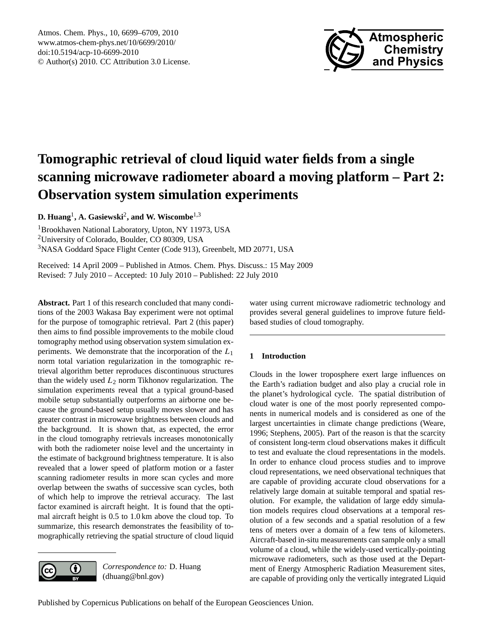

# <span id="page-0-0"></span>**Tomographic retrieval of cloud liquid water fields from a single scanning microwave radiometer aboard a moving platform – Part 2: Observation system simulation experiments**

**D. Huang**<sup>1</sup> **, A. Gasiewski**<sup>2</sup> **, and W. Wiscombe**1,3

<sup>1</sup>Brookhaven National Laboratory, Upton, NY 11973, USA <sup>2</sup>University of Colorado, Boulder, CO 80309, USA <sup>3</sup>NASA Goddard Space Flight Center (Code 913), Greenbelt, MD 20771, USA

Received: 14 April 2009 – Published in Atmos. Chem. Phys. Discuss.: 15 May 2009 Revised: 7 July 2010 – Accepted: 10 July 2010 – Published: 22 July 2010

**Abstract.** Part 1 of this research concluded that many conditions of the 2003 Wakasa Bay experiment were not optimal for the purpose of tomographic retrieval. Part 2 (this paper) then aims to find possible improvements to the mobile cloud tomography method using observation system simulation experiments. We demonstrate that the incorporation of the  $L_1$ norm total variation regularization in the tomographic retrieval algorithm better reproduces discontinuous structures than the widely used  $L_2$  norm Tikhonov regularization. The simulation experiments reveal that a typical ground-based mobile setup substantially outperforms an airborne one because the ground-based setup usually moves slower and has greater contrast in microwave brightness between clouds and the background. It is shown that, as expected, the error in the cloud tomography retrievals increases monotonically with both the radiometer noise level and the uncertainty in the estimate of background brightness temperature. It is also revealed that a lower speed of platform motion or a faster scanning radiometer results in more scan cycles and more overlap between the swaths of successive scan cycles, both of which help to improve the retrieval accuracy. The last factor examined is aircraft height. It is found that the optimal aircraft height is 0.5 to 1.0 km above the cloud top. To summarize, this research demonstrates the feasibility of tomographically retrieving the spatial structure of cloud liquid



*Correspondence to:* D. Huang (dhuang@bnl.gov)

water using current microwave radiometric technology and provides several general guidelines to improve future fieldbased studies of cloud tomography.

## **1 Introduction**

Clouds in the lower troposphere exert large influences on the Earth's radiation budget and also play a crucial role in the planet's hydrological cycle. The spatial distribution of cloud water is one of the most poorly represented components in numerical models and is considered as one of the largest uncertainties in climate change predictions (Weare, 1996; Stephens, 2005). Part of the reason is that the scarcity of consistent long-term cloud observations makes it difficult to test and evaluate the cloud representations in the models. In order to enhance cloud process studies and to improve cloud representations, we need observational techniques that are capable of providing accurate cloud observations for a relatively large domain at suitable temporal and spatial resolution. For example, the validation of large eddy simulation models requires cloud observations at a temporal resolution of a few seconds and a spatial resolution of a few tens of meters over a domain of a few tens of kilometers. Aircraft-based in-situ measurements can sample only a small volume of a cloud, while the widely-used vertically-pointing microwave radiometers, such as those used at the Department of Energy Atmospheric Radiation Measurement sites, are capable of providing only the vertically integrated Liquid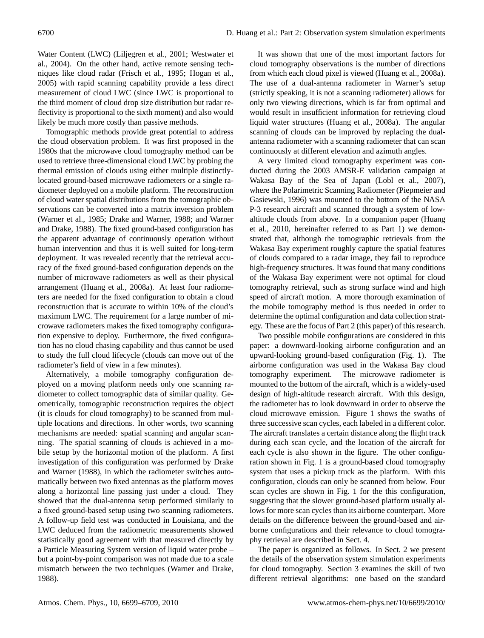Water Content (LWC) (Liljegren et al., 2001; Westwater et al., 2004). On the other hand, active remote sensing techniques like cloud radar (Frisch et al., 1995; Hogan et al., 2005) with rapid scanning capability provide a less direct measurement of cloud LWC (since LWC is proportional to the third moment of cloud drop size distribution but radar reflectivity is proportional to the sixth moment) and also would likely be much more costly than passive methods.

Tomographic methods provide great potential to address the cloud observation problem. It was first proposed in the 1980s that the microwave cloud tomography method can be used to retrieve three-dimensional cloud LWC by probing the thermal emission of clouds using either multiple distinctlylocated ground-based microwave radiometers or a single radiometer deployed on a mobile platform. The reconstruction of cloud water spatial distributions from the tomographic observations can be converted into a matrix inversion problem (Warner et al., 1985; Drake and Warner, 1988; and Warner and Drake, 1988). The fixed ground-based configuration has the apparent advantage of continuously operation without human intervention and thus it is well suited for long-term deployment. It was revealed recently that the retrieval accuracy of the fixed ground-based configuration depends on the number of microwave radiometers as well as their physical arrangement (Huang et al., 2008a). At least four radiometers are needed for the fixed configuration to obtain a cloud reconstruction that is accurate to within 10% of the cloud's maximum LWC. The requirement for a large number of microwave radiometers makes the fixed tomography configuration expensive to deploy. Furthermore, the fixed configuration has no cloud chasing capability and thus cannot be used to study the full cloud lifecycle (clouds can move out of the radiometer's field of view in a few minutes).

Alternatively, a mobile tomography configuration deployed on a moving platform needs only one scanning radiometer to collect tomographic data of similar quality. Geometrically, tomographic reconstruction requires the object (it is clouds for cloud tomography) to be scanned from multiple locations and directions. In other words, two scanning mechanisms are needed: spatial scanning and angular scanning. The spatial scanning of clouds is achieved in a mobile setup by the horizontal motion of the platform. A first investigation of this configuration was performed by Drake and Warner (1988), in which the radiometer switches automatically between two fixed antennas as the platform moves along a horizontal line passing just under a cloud. They showed that the dual-antenna setup performed similarly to a fixed ground-based setup using two scanning radiometers. A follow-up field test was conducted in Louisiana, and the LWC deduced from the radiometric measurements showed statistically good agreement with that measured directly by a Particle Measuring System version of liquid water probe – but a point-by-point comparison was not made due to a scale mismatch between the two techniques (Warner and Drake, 1988).

It was shown that one of the most important factors for cloud tomography observations is the number of directions from which each cloud pixel is viewed (Huang et al., 2008a). The use of a dual-antenna radiometer in Warner's setup (strictly speaking, it is not a scanning radiometer) allows for only two viewing directions, which is far from optimal and would result in insufficient information for retrieving cloud liquid water structures (Huang et al., 2008a). The angular scanning of clouds can be improved by replacing the dualantenna radiometer with a scanning radiometer that can scan continuously at different elevation and azimuth angles.

A very limited cloud tomography experiment was conducted during the 2003 AMSR-E validation campaign at Wakasa Bay of the Sea of Japan (Lobl et al., 2007), where the Polarimetric Scanning Radiometer (Piepmeier and Gasiewski, 1996) was mounted to the bottom of the NASA P-3 research aircraft and scanned through a system of lowaltitude clouds from above. In a companion paper (Huang et al., 2010, hereinafter referred to as Part 1) we demonstrated that, although the tomographic retrievals from the Wakasa Bay experiment roughly capture the spatial features of clouds compared to a radar image, they fail to reproduce high-frequency structures. It was found that many conditions of the Wakasa Bay experiment were not optimal for cloud tomography retrieval, such as strong surface wind and high speed of aircraft motion. A more thorough examination of the mobile tomography method is thus needed in order to determine the optimal configuration and data collection strategy. These are the focus of Part 2 (this paper) of this research.

Two possible mobile configurations are considered in this paper: a downward-looking airborne configuration and an upward-looking ground-based configuration (Fig. 1). The airborne configuration was used in the Wakasa Bay cloud tomography experiment. The microwave radiometer is mounted to the bottom of the aircraft, which is a widely-used design of high-altitude research aircraft. With this design, the radiometer has to look downward in order to observe the cloud microwave emission. Figure 1 shows the swaths of three successive scan cycles, each labeled in a different color. The aircraft translates a certain distance along the flight track during each scan cycle, and the location of the aircraft for each cycle is also shown in the figure. The other configuration shown in Fig. 1 is a ground-based cloud tomography system that uses a pickup truck as the platform. With this configuration, clouds can only be scanned from below. Four scan cycles are shown in Fig. 1 for the this configuration, suggesting that the slower ground-based platform usually allows for more scan cycles than its airborne counterpart. More details on the difference between the ground-based and airborne configurations and their relevance to cloud tomography retrieval are described in Sect. 4.

The paper is organized as follows. In Sect. 2 we present the details of the observation system simulation experiments for cloud tomography. Section 3 examines the skill of two different retrieval algorithms: one based on the standard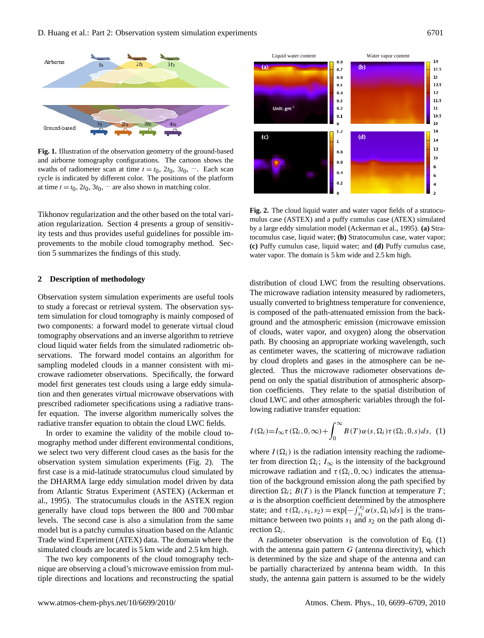

Figure 1. Illustration of the observation geometry of the ground-based and airborne Fig. 1. Illustration of the observation geometry of the ground-based and airborne tomography configurations. The cartoon shows the swaths of radiometer scan at time  $t = t_0$ ,  $2t_0$ ,  $3t_0$ ,  $\ldots$ . Each scan cycle is indicated by different color. The positions of the platform at time  $t = t_0$ ,  $2t_0$ ,  $3t_0$ ,  $\cdots$  are also shown in matching color.

Tikhonov regularization and the other based on the total variation regularization. Section 4 presents a group of sensitivity tests and thus provides useful guidelines for possible improvements to the mobile cloud tomography method. Section 5 summarizes the findings of this study.

## **2 Description of methodology**

two components: a forward model to generate virtual cloud Observation system simulation experiments are useful tools to study a forecast or retrieval system. The observation system simulation for cloud tomography is mainly composed of tomography observations and an inverse algorithm to retrieve cloud liquid water fields from the simulated radiometric observations. The forward model contains an algorithm for sampling modeled clouds in a manner consistent with microwave radiometer observations. Specifically, the forward model first generates test clouds using a large eddy simulation and then generates virtual microwave observations with prescribed radiometer specifications using a radiative transfer equation. The inverse algorithm numerically solves the radiative transfer equation to obtain the cloud LWC fields.

In order to examine the validity of the mobile cloud tomography method under different environmental conditions, we select two very different cloud cases as the basis for the observation system simulation experiments (Fig. 2). The first case is a mid-latitude stratocumulus cloud simulated by the DHARMA large eddy simulation model driven by data from Atlantic Stratus Experiment (ASTEX) (Ackerman et al., 1995). The stratocumulus clouds in the ASTEX region generally have cloud tops between the 800 and 700 mbar levels. The second case is also a simulation from the same model but is a patchy cumulus situation based on the Atlantic Trade wind Experiment (ATEX) data. The domain where the simulated clouds are located is 5 km wide and 2.5 km high.

The two key components of the cloud tomography technique are observing a cloud's microwave emission from multiple directions and locations and reconstructing the spatial



**Fig. 2.** The cloud liquid water and water vapor fields of a stratocumulus case (ASTEX) and a puffy cumulus case (ATEX) simulated by a large eddy simulation model (Ackerman et al., 1995). **(a)** Stratocumulus case, liquid water; (b) Stratocumulus case, water vapor; **(c)** Puffy cumulus case, liquid water; and **(d)** Puffy cumulus case, water vapor. The domain is 5 km wide and 2.5 km high.

path. By choosing an appropriate working wavelength, such distribution of cloud LWC from the resulting observations. The microwave radiation intensity measured by radiometers, usually converted to brightness temperature for convenience, is composed of the path-attenuated emission from the background and the atmospheric emission (microwave emission of clouds, water vapor, and oxygen) along the observation as centimeter waves, the scattering of microwave radiation by cloud droplets and gases in the atmosphere can be neglected. Thus the microwave radiometer observations depend on only the spatial distribution of atmospheric absorption coefficients. They relate to the spatial distribution of cloud LWC and other atmospheric variables through the following radiative transfer equation:

$$
I(\Omega_i) = I_{\infty} \tau(\Omega_i, 0, \infty) + \int_0^{\infty} B(T) \alpha(s, \Omega_i) \tau(\Omega_i, 0, s) ds, (1)
$$

where  $I(\Omega_i)$  is the radiation intensity reaching the radiometer from direction  $\Omega_i$ ;  $I_{\infty}$  is the intensity of the background microwave radiation and  $\tau(\Omega_i,0,\infty)$  indicates the attenuation of the background emission along the path specified by direction  $\Omega_i$ ;  $B(T)$  is the Planck function at temperature T;  $\alpha$  is the absorption coefficient determined by the atmosphere state; and  $\tau(\Omega_i, s_1, s_2) = \exp[-\int_{s_1}^{s_2} \alpha(s, \Omega_i) ds]$  is the transmittance between two points  $s_1$  and  $s_2$  on the path along direction  $\Omega_i$ .

A radiometer observation is the convolution of Eq. (1) with the antenna gain pattern  $G$  (antenna directivity), which is determined by the size and shape of the antenna and can be partially characterized by antenna beam width. In this study, the antenna gain pattern is assumed to be the widely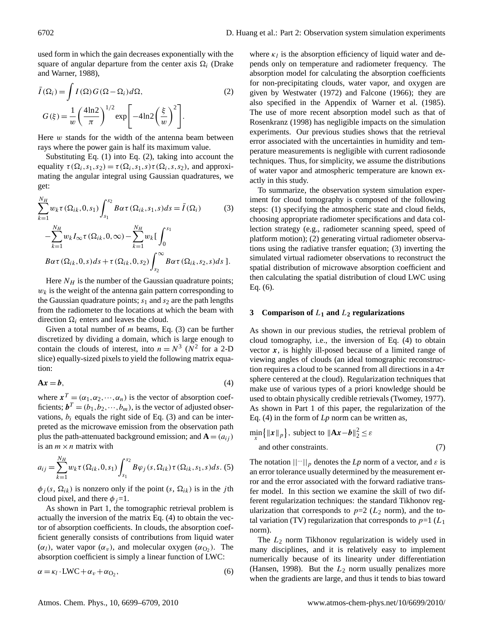used form in which the gain decreases exponentially with the square of angular departure from the center axis  $\Omega_i$  (Drake and Warner, 1988),

$$
\bar{I}(\Omega_i) = \int I(\Omega) G(\Omega - \Omega_i) d\Omega, \qquad (2)
$$
\n
$$
G(\xi) = \frac{1}{w} \left(\frac{4\ln 2}{\pi}\right)^{1/2} \exp\left[-4\ln 2\left(\frac{\xi}{w}\right)^2\right].
$$

Here  $w$  stands for the width of the antenna beam between rays where the power gain is half its maximum value.

Substituting Eq. (1) into Eq. (2), taking into account the equality  $\tau(\Omega_i,s_1,s_2) = \tau(\Omega_i,s_1,s)\tau(\Omega_i,s,s_2)$ , and approximating the angular integral using Gaussian quadratures, we get:

$$
\sum_{k=1}^{N_H} w_k \tau(\Omega_{ik}, 0, s_1) \int_{s_1}^{s_2} B \alpha \tau(\Omega_{ik}, s_1, s) ds = \bar{I}(\Omega_i)
$$
(3)  

$$
- \sum_{k=1}^{N_H} w_k I_{\infty} \tau(\Omega_{ik}, 0, \infty) - \sum_{k=1}^{N_H} w_k \left[ \int_0^{s_1} B \alpha \tau(\Omega_{ik}, s_2, s) ds \right].
$$
  

$$
B \alpha \tau(\Omega_{ik}, 0, s) ds + \tau(\Omega_{ik}, 0, s_2) \int_{s_2}^{\infty} B \alpha \tau(\Omega_{ik}, s_2, s) ds \left].
$$

Here  $N_H$  is the number of the Gaussian quadrature points;  $w_k$  is the weight of the antenna gain pattern corresponding to the Gaussian quadrature points;  $s_1$  and  $s_2$  are the path lengths from the radiometer to the locations at which the beam with direction  $\Omega_i$  enters and leaves the cloud.

Given a total number of  $m$  beams, Eq. (3) can be further discretized by dividing a domain, which is large enough to contain the clouds of interest, into  $n = N^3$  ( $N^2$  for a 2-D slice) equally-sized pixels to yield the following matrix equation:

$$
Ax = b,\tag{4}
$$

where  $x^T = (\alpha_1, \alpha_2, \cdots, \alpha_n)$  is the vector of absorption coefficients;  $\boldsymbol{b}^T = (b_1, b_2, \dots, b_m)$ , is the vector of adjusted observations,  $b_i$  equals the right side of Eq. (3) and can be interpreted as the microwave emission from the observation path plus the path-attenuated background emission; and  $\mathbf{A} = (a_{ij})$ is an  $m \times n$  matrix with

$$
a_{ij} = \sum_{k=1}^{N_H} w_k \tau(\Omega_{ik}, 0, s_1) \int_{s_1}^{s_2} B \varphi_j(s, \Omega_{ik}) \tau(\Omega_{ik}, s_1, s) ds. (5)
$$

 $\phi_i$  (s,  $\Omega_{ik}$ ) is nonzero only if the point (s,  $\Omega_{ik}$ ) is in the jth cloud pixel, and there  $\phi_i = 1$ .

As shown in Part 1, the tomographic retrieval problem is actually the inversion of the matrix Eq. (4) to obtain the vector of absorption coefficients. In clouds, the absorption coefficient generally consists of contributions from liquid water  $(\alpha_l)$ , water vapor  $(\alpha_v)$ , and molecular oxygen  $(\alpha_{O_2})$ . The absorption coefficient is simply a linear function of LWC:

$$
\alpha = \kappa_l \cdot LWC + \alpha_v + \alpha_{O_2},\tag{6}
$$

where  $\kappa_l$  is the absorption efficiency of liquid water and depends only on temperature and radiometer frequency. The absorption model for calculating the absorption coefficients for non-precipitating clouds, water vapor, and oxygen are given by Westwater (1972) and Falcone (1966); they are also specified in the Appendix of Warner et al. (1985). The use of more recent absorption model such as that of Rosenkranz (1998) has negligible impacts on the simulation experiments. Our previous studies shows that the retrieval error associated with the uncertainties in humidity and temperature measurements is negligible with current radiosonde techniques. Thus, for simplicity, we assume the distributions of water vapor and atmospheric temperature are known exactly in this study.

To summarize, the observation system simulation experiment for cloud tomography is composed of the following steps: (1) specifying the atmospheric state and cloud fields, choosing appropriate radiometer specifications and data collection strategy (e.g., radiometer scanning speed, speed of platform motion); (2) generating virtual radiometer observations using the radiative transfer equation; (3) inverting the simulated virtual radiometer observations to reconstruct the spatial distribution of microwave absorption coefficient and then calculating the spatial distribution of cloud LWC using Eq. (6).

## **3 Comparison of** L**<sup>1</sup> and** L**<sup>2</sup> regularizations**

As shown in our previous studies, the retrieval problem of cloud tomography, i.e., the inversion of Eq. (4) to obtain vector  $x$ , is highly ill-posed because of a limited range of viewing angles of clouds (an ideal tomographic reconstruction requires a cloud to be scanned from all directions in a  $4\pi$ sphere centered at the cloud). Regularization techniques that make use of various types of a priori knowledge should be used to obtain physically credible retrievals (Twomey, 1977). As shown in Part 1 of this paper, the regularization of the Eq. (4) in the form of *Lp* norm can be written as,

$$
\min_{x} {\left\{ \left\| \boldsymbol{x} \right\|_{p} \right\}}, \text{ subject to } \left\| \boldsymbol{\Lambda} \boldsymbol{x} - \boldsymbol{b} \right\|_{2}^{2} \le \varepsilon
$$
\nand other constraints.

\n
$$
\tag{7}
$$

The notation  $||\cdot||_p$  denotes the *Lp* norm of a vector, and  $\varepsilon$  is an error tolerance usually determined by the measurement error and the error associated with the forward radiative transfer model. In this section we examine the skill of two different regularization techniques: the standard Tikhonov regularization that corresponds to  $p=2$  ( $L_2$  norm), and the total variation (TV) regularization that corresponds to  $p=1$  ( $L_1$ ) norm).

The  $L_2$  norm Tikhonov regularization is widely used in many disciplines, and it is relatively easy to implement numerically because of its linearity under differentiation (Hansen, 1998). But the  $L_2$  norm usually penalizes more when the gradients are large, and thus it tends to bias toward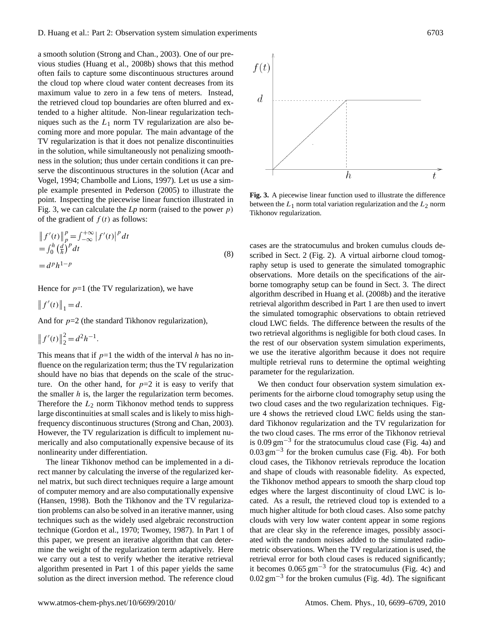a smooth solution (Strong and Chan., 2003). One of our previous studies (Huang et al., 2008b) shows that this method often fails to capture some discontinuous structures around the cloud top where cloud water content decreases from its maximum value to zero in a few tens of meters. Instead, the retrieved cloud top boundaries are often blurred and extended to a higher altitude. Non-linear regularization techniques such as the  $L_1$  norm TV regularization are also becoming more and more popular. The main advantage of the TV regularization is that it does not penalize discontinuities in the solution, while simultaneously not penalizing smoothness in the solution; thus under certain conditions it can preserve the discontinuous structures in the solution (Acar and Vogel, 1994; Chambolle and Lions, 1997). Let us use a simple example presented in Pederson (2005) to illustrate the point. Inspecting the piecewise linear function illustrated in Fig. 3, we can calculate the *Lp* norm (raised to the power *p*) of the gradient of  $f(t)$  as follows:

$$
\|f'(t)\|_p^p = \int_{-\infty}^{+\infty} |f'(t)|^p dt
$$
  
=  $\int_0^h (\frac{d}{h})^p dt$   
=  $d^p h^{1-p}$  (8)

Hence for  $p=1$  (the TV regularization), we have

$$
\left\|f'(t)\right\|_1 = d.
$$

And for  $p=2$  (the standard Tikhonov regularization),

$$
|| f'(t) ||_2^2 = d^2 h^{-1}.
$$

This means that if  $p=1$  the width of the interval h has no influence on the regularization term; thus the TV regularization should have no bias that depends on the scale of the structure. On the other hand, for  $p=2$  it is easy to verify that the smaller  $h$  is, the larger the regularization term becomes. Therefore the  $L_2$  norm Tikhonov method tends to suppress large discontinuities at small scales and is likely to miss highfrequency discontinuous structures (Strong and Chan, 2003). However, the TV regularization is difficult to implement numerically and also computationally expensive because of its nonlinearity under differentiation.

The linear Tikhonov method can be implemented in a direct manner by calculating the inverse of the regularized kernel matrix, but such direct techniques require a large amount of computer memory and are also computationally expensive (Hansen, 1998). Both the Tikhonov and the TV regularization problems can also be solved in an iterative manner, using techniques such as the widely used algebraic reconstruction technique (Gordon et al., 1970; Twomey, 1987). In Part 1 of this paper, we present an iterative algorithm that can determine the weight of the regularization term adaptively. Here we carry out a test to verify whether the iterative retrieval algorithm presented in Part 1 of this paper yields the same solution as the direct inversion method. The reference cloud



Fig. 3. A piecewise linear function used to illustrate the difference between the  $L_1$  norm total variation regularization and the  $L_2$  norm Tikhonov regularization.

two retrieval algorithms is negligible for both cloud cases. In cases are the stratocumulus and broken cumulus clouds described in Sect. 2 (Fig. 2). A virtual airborne cloud tomography setup is used to generate the simulated tomographic observations. More details on the specifications of the airborne tomography setup can be found in Sect. 3. The direct algorithm described in Huang et al. (2008b) and the iterative retrieval algorithm described in Part 1 are then used to invert the simulated tomographic observations to obtain retrieved cloud LWC fields. The difference between the results of the the rest of our observation system simulation experiments, we use the iterative algorithm because it does not require multiple retrieval runs to determine the optimal weighting parameter for the regularization.

We then conduct four observation system simulation experiments for the airborne cloud tomography setup using the two cloud cases and the two regularization techniques. Figure 4 shows the retrieved cloud LWC fields using the standard Tikhonov regularization and the TV regularization for the two cloud cases. The rms error of the Tikhonov retrieval is  $0.09 \text{ gm}^{-3}$  for the stratocumulus cloud case (Fig. 4a) and 0.03 gm−<sup>3</sup> for the broken cumulus case (Fig. 4b). For both cloud cases, the Tikhonov retrievals reproduce the location and shape of clouds with reasonable fidelity. As expected, the Tikhonov method appears to smooth the sharp cloud top edges where the largest discontinuity of cloud LWC is located. As a result, the retrieved cloud top is extended to a much higher altitude for both cloud cases. Also some patchy clouds with very low water content appear in some regions that are clear sky in the reference images, possibly associated with the random noises added to the simulated radiometric observations. When the TV regularization is used, the retrieval error for both cloud cases is reduced significantly; it becomes  $0.065 \text{ gm}^{-3}$  for the stratocumulus (Fig. 4c) and 0.02 gm−<sup>3</sup> for the broken cumulus (Fig. 4d). The significant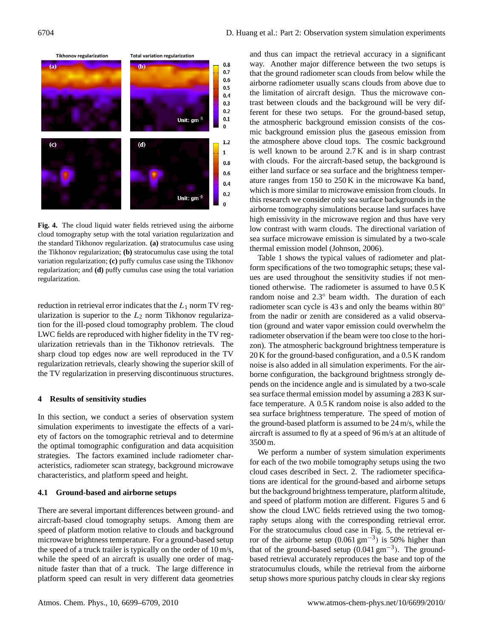

Fig. 4. The cloud liquid water fields retrieved using the airborne cloud tomography setup with the total variation regularization and the standard Tikhonov regularization. (a) stratocumulus case using the Tikhonov regularization; **(b)** stratocumulus case using the total variation regularization; **(c)** puffy cumulus case using the Tikhonov regularization; and **(d)** puffy cumulus case using the total variation regularization.

and the term are represented that again the target of the set reduction in retrieval error indicates that the  $L_1$  norm TV regularization is superior to the  $L_2$  norm Tikhonov regularization for the ill-posed cloud tomography problem. The cloud LWC fields are reproduced with higher fidelity in the TV regsharp cloud top edges now are well reproduced in the TV regularization retrievals, clearly showing the superior skill of the TV regularization in preserving discontinuous structures.

#### **4 Results of sensitivity studies**

In this section, we conduct a series of observation system simulation experiments to investigate the effects of a variety of factors on the tomographic retrieval and to determine the optimal tomographic configuration and data acquisition strategies. The factors examined include radiometer characteristics, radiometer scan strategy, background microwave characteristics, and platform speed and height.

#### **4.1 Ground-based and airborne setups**

There are several important differences between ground- and aircraft-based cloud tomography setups. Among them are speed of platform motion relative to clouds and background microwave brightness temperature. For a ground-based setup the speed of a truck trailer is typically on the order of 10 m/s, while the speed of an aircraft is usually one order of magnitude faster than that of a truck. The large difference in platform speed can result in very different data geometries and thus can impact the retrieval accuracy in a significant way. Another major difference between the two setups is that the ground radiometer scan clouds from below while the airborne radiometer usually scans clouds from above due to the limitation of aircraft design. Thus the microwave contrast between clouds and the background will be very different for these two setups. For the ground-based setup, the atmospheric background emission consists of the cosmic background emission plus the gaseous emission from the atmosphere above cloud tops. The cosmic background is well known to be around 2.7 K and is in sharp contrast with clouds. For the aircraft-based setup, the background is either land surface or sea surface and the brightness temperature ranges from 150 to 250 K in the microwave Ka band, which is more similar to microwave emission from clouds. In this research we consider only sea surface backgrounds in the airborne tomography simulations because land surfaces have high emissivity in the microwave region and thus have very low contrast with warm clouds. The directional variation of sea surface microwave emission is simulated by a two-scale thermal emission model (Johnson, 2006).

Table 1 shows the typical values of radiometer and platform specifications of the two tomographic setups; these values are used throughout the sensitivity studies if not mentioned otherwise. The radiometer is assumed to have 0.5 K random noise and 2.3◦ beam width. The duration of each radiometer scan cycle is 43 s and only the beams within 80° from the nadir or zenith are considered as a valid observation (ground and water vapor emission could overwhelm the radiometer observation if the beam were too close to the horizon). The atmospheric background brightness temperature is 20 K for the ground-based configuration, and a 0.5 K random noise is also added in all simulation experiments. For the airborne configuration, the background brightness strongly depends on the incidence angle and is simulated by a two-scale sea surface thermal emission model by assuming a 283 K surface temperature. A 0.5 K random noise is also added to the sea surface brightness temperature. The speed of motion of the ground-based platform is assumed to be 24 m/s, while the aircraft is assumed to fly at a speed of 96 m/s at an altitude of 3500 m.

We perform a number of system simulation experiments for each of the two mobile tomography setups using the two cloud cases described in Sect. 2. The radiometer specifications are identical for the ground-based and airborne setups but the background brightness temperature, platform altitude, and speed of platform motion are different. Figures 5 and 6 show the cloud LWC fields retrieved using the two tomography setups along with the corresponding retrieval error. For the stratocumulus cloud case in Fig. 5, the retrieval error of the airborne setup  $(0.061 \text{ gm}^{-3})$  is 50% higher than that of the ground-based setup  $(0.041 \text{ gm}^{-3})$ . The groundbased retrieval accurately reproduces the base and top of the stratocumulus clouds, while the retrieval from the airborne setup shows more spurious patchy clouds in clear sky regions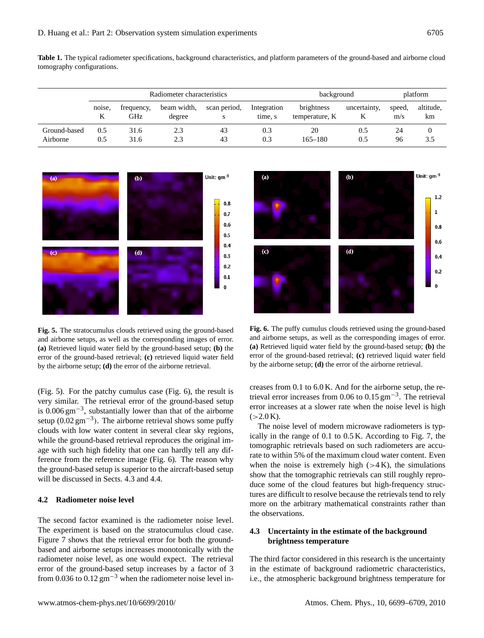|                          | Radiometer characteristics |                   |                       |              |                        | background                   |              | platform      |                     |
|--------------------------|----------------------------|-------------------|-----------------------|--------------|------------------------|------------------------------|--------------|---------------|---------------------|
|                          | noise,<br>K                | frequency,<br>GHz | beam width,<br>degree | scan period, | Integration<br>time, s | brightness<br>temperature, K | uncertainty, | speed,<br>m/s | altitude.<br>km     |
| Ground-based<br>Airborne | 0.5<br>0.5                 | 31.6<br>31.6      | 2.3<br>2.3            | 43<br>43     | 0.3<br>0.3             | 20<br>$165 - 180$            | 0.5<br>0.5   | 24<br>96      | $\mathbf{U}$<br>3.5 |



Fig. 5. The stratocumulus clouds retrieved using the ground-based and airborne setups, as well as the corresponding images of error. **(a)** Retrieved liquid water field by the ground-based setup; **(b)** the error of the ground-based retrieval; **(c)** retrieved liquid water field by the airborne setup; **(d)** the error of the airborne retrieval.

ference from the reference image (Fig. 6). The reason why (Fig. 5). For the patchy cumulus case (Fig. 6), the result is very similar. The retrieval error of the ground-based setup is 0.006 gm−<sup>3</sup> , substantially lower than that of the airborne setup (0.02  $\text{gm}^{-3}$ ). The airborne retrieval shows some puffy clouds with low water content in several clear sky regions, while the ground-based retrieval reproduces the original image with such high fidelity that one can hardly tell any difthe ground-based setup is superior to the aircraft-based setup will be discussed in Sects. 4.3 and 4.4.

## **4.2 Radiometer noise level**

The second factor examined is the radiometer noise level. The experiment is based on the stratocumulus cloud case. Figure 7 shows that the retrieval error for both the groundbased and airborne setups increases monotonically with the radiometer noise level, as one would expect. The retrieval error of the ground-based setup increases by a factor of 3 from 0.036 to  $0.12 \text{ gm}^{-3}$  when the radiometer noise level in-



Fig. 6. The puffy cumulus clouds retrieved using the ground-based and airborne setups, as well as the corresponding images of error. **(a)** Retrieved liquid water field by the ground-based setup; **(b)** the error of the ground-based retrieval; **(c)** retrieved liquid water field by the airborne setup; **(d)** the error of the airborne retrieval.

creases from 0.1 to 6.0 K. And for the airborne setup, the retrieval error increases from 0.06 to  $0.15 \text{ gm}^{-3}$ . The retrieval error increases at a slower rate when the noise level is high  $(>2.0 K)$ .

rate to within 5% of the maximum cloud water content. Even The noise level of modern microwave radiometers is typically in the range of 0.1 to 0.5 K. According to Fig. 7, the tomographic retrievals based on such radiometers are accuwhen the noise is extremely high  $(>4 K)$ , the simulations show that the tomographic retrievals can still roughly reproduce some of the cloud features but high-frequency structures are difficult to resolve because the retrievals tend to rely more on the arbitrary mathematical constraints rather than the observations.

## **4.3 Uncertainty in the estimate of the background brightness temperature**

The third factor considered in this research is the uncertainty in the estimate of background radiometric characteristics, i.e., the atmospheric background brightness temperature for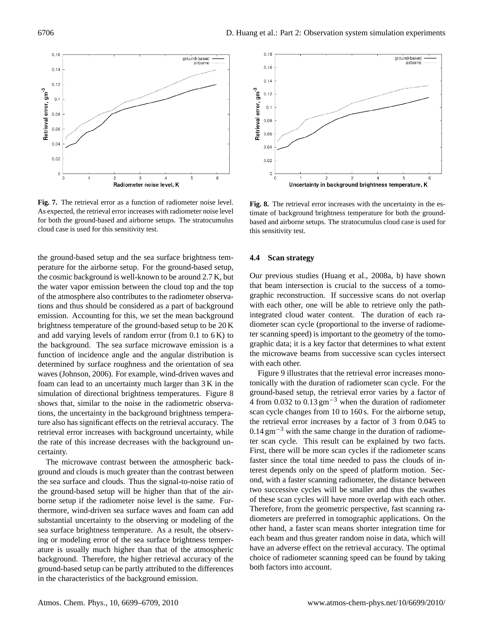

Fig. 7. The retrieval error as a function of radiometer noise level. As expected, the retrieval error increases with radiometer noise level for both the ground-based and airborne setups. The stratocumulus cloud case is used for this sensitivity test.

36 brightness temperature of the ground-based setup to be 20 K the ground-based setup and the sea surface brightness temperature for the airborne setup. For the ground-based setup, the cosmic background is well-known to be around 2.7 K, but the water vapor emission between the cloud top and the top of the atmosphere also contributes to the radiometer observations and thus should be considered as a part of background emission. Accounting for this, we set the mean background and add varying levels of random error (from  $0.1$  to  $6K$ ) to the background. The sea surface microwave emission is a function of incidence angle and the angular distribution is determined by surface roughness and the orientation of sea waves (Johnson, 2006). For example, wind-driven waves and foam can lead to an uncertainty much larger than 3 K in the simulation of directional brightness temperatures. Figure 8 shows that, similar to the noise in the radiometric observations, the uncertainty in the background brightness temperature also has significant effects on the retrieval accuracy. The retrieval error increases with background uncertainty, while the rate of this increase decreases with the background uncertainty.

The microwave contrast between the atmospheric background and clouds is much greater than the contrast between the sea surface and clouds. Thus the signal-to-noise ratio of the ground-based setup will be higher than that of the airborne setup if the radiometer noise level is the same. Furthermore, wind-driven sea surface waves and foam can add substantial uncertainty to the observing or modeling of the sea surface brightness temperature. As a result, the observing or modeling error of the sea surface brightness temperature is usually much higher than that of the atmospheric background. Therefore, the higher retrieval accuracy of the ground-based setup can be partly attributed to the differences in the characteristics of the background emission.



Fig. 8. The retrieval error increases with the uncertainty in the estimate of background brightness temperature for both the groundbased and airborne setups. The stratocumulus cloud case is used for this sensitivity test.

#### **4.4 Scan strategy**

graphic data; it is a key factor that determines to what extent Our previous studies (Huang et al., 2008a, b) have shown that beam intersection is crucial to the success of a tomographic reconstruction. If successive scans do not overlap with each other, one will be able to retrieve only the pathintegrated cloud water content. The duration of each radiometer scan cycle (proportional to the inverse of radiometer scanning speed) is important to the geometry of the tomothe microwave beams from successive scan cycles intersect with each other.

Figure 9 illustrates that the retrieval error increases monotonically with the duration of radiometer scan cycle. For the ground-based setup, the retrieval error varies by a factor of 4 from 0.032 to 0.13 gm<sup>-3</sup> when the duration of radiometer scan cycle changes from 10 to 160 s. For the airborne setup, the retrieval error increases by a factor of 3 from 0.045 to  $0.14 \text{ gm}^{-3}$  with the same change in the duration of radiometer scan cycle. This result can be explained by two facts. First, there will be more scan cycles if the radiometer scans faster since the total time needed to pass the clouds of interest depends only on the speed of platform motion. Second, with a faster scanning radiometer, the distance between two successive cycles will be smaller and thus the swathes of these scan cycles will have more overlap with each other. Therefore, from the geometric perspective, fast scanning radiometers are preferred in tomographic applications. On the other hand, a faster scan means shorter integration time for each beam and thus greater random noise in data, which will have an adverse effect on the retrieval accuracy. The optimal choice of radiometer scanning speed can be found by taking both factors into account.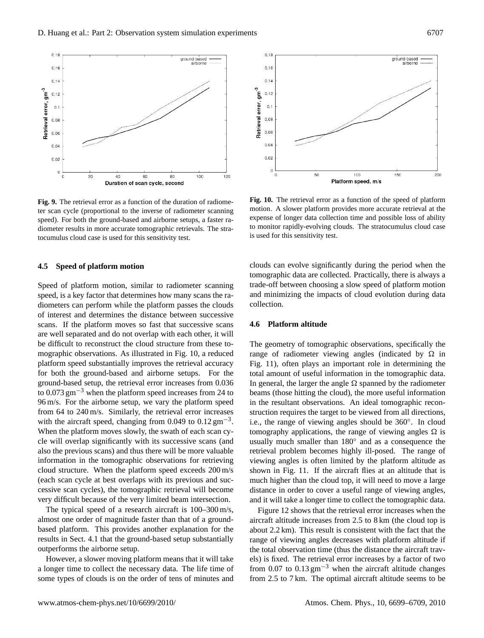

Fig. 9. The retrieval error as a function of the duration of radiome-The strate value in more as a famous of the stratocumulus cloud case is used for the strategies of radiometer scanning speed). For both the ground-based and airborne setups, a faster radiometer results in more accurate tomographic retrievals. The stratocumulus cloud case is used for this sensitivity test.

## **4.5 Speed of platform motion**

are well separated and do not overlap with each other, it will Speed of platform motion, similar to radiometer scanning speed, is a key factor that determines how many scans the radiometers can perform while the platform passes the clouds of interest and determines the distance between successive scans. If the platform moves so fast that successive scans be difficult to reconstruct the cloud structure from these tomographic observations. As illustrated in Fig. 10, a reduced platform speed substantially improves the retrieval accuracy for both the ground-based and airborne setups. For the ground-based setup, the retrieval error increases from 0.036 to 0.073  $\text{gm}^{-3}$  when the platform speed increases from 24 to 96 m/s. For the airborne setup, we vary the platform speed from 64 to 240 m/s. Similarly, the retrieval error increases with the aircraft speed, changing from  $0.049$  to  $0.12 \text{ gm}^{-3}$ . When the platform moves slowly, the swath of each scan cycle will overlap significantly with its successive scans (and also the previous scans) and thus there will be more valuable information in the tomographic observations for retrieving cloud structure. When the platform speed exceeds 200 m/s (each scan cycle at best overlaps with its previous and successive scan cycles), the tomographic retrieval will become very difficult because of the very limited beam intersection.

The typical speed of a research aircraft is 100–300 m/s, almost one order of magnitude faster than that of a groundbased platform. This provides another explanation for the results in Sect. 4.1 that the ground-based setup substantially outperforms the airborne setup.

However, a slower moving platform means that it will take a longer time to collect the necessary data. The life time of some types of clouds is on the order of tens of minutes and



Fig. For the retrieval error as a function of the speed of plat. motion. A slower platform provides more accurate retrieval at the expense of longer data collection time and possible loss of ability to monitor rapidly-evolving clouds. The stratocumulus cloud case **Fig. 10.** The retrieval error as a function of the speed of platform is used for this sensitivity test.

clouds can evolve significantly during the period when the tomographic data are collected. Practically, there is always a trade-off between choosing a slow speed of platform motion and minimizing the impacts of cloud evolution during data collection.

#### **4.6 Platform altitude**

The geometry of tomographic observations, specifically the range of radiometer viewing angles (indicated by  $\Omega$  in Fig. 11), often plays an important role in determining the total amount of useful information in the tomographic data. In general, the larger the angle  $\Omega$  spanned by the radiometer beams (those hitting the cloud), the more useful information in the resultant observations. An ideal tomographic reconstruction requires the target to be viewed from all directions, i.e., the range of viewing angles should be 360◦ . In cloud tomography applications, the range of viewing angles  $\Omega$  is usually much smaller than 180° and as a consequence the retrieval problem becomes highly ill-posed. The range of viewing angles is often limited by the platform altitude as shown in Fig. 11. If the aircraft flies at an altitude that is much higher than the cloud top, it will need to move a large distance in order to cover a useful range of viewing angles, and it will take a longer time to collect the tomographic data.

Figure 12 shows that the retrieval error increases when the aircraft altitude increases from 2.5 to 8 km (the cloud top is about 2.2 km). This result is consistent with the fact that the range of viewing angles decreases with platform altitude if the total observation time (thus the distance the aircraft travels) is fixed. The retrieval error increases by a factor of two from 0.07 to 0.13 gm<sup>-3</sup> when the aircraft altitude changes from 2.5 to 7 km. The optimal aircraft altitude seems to be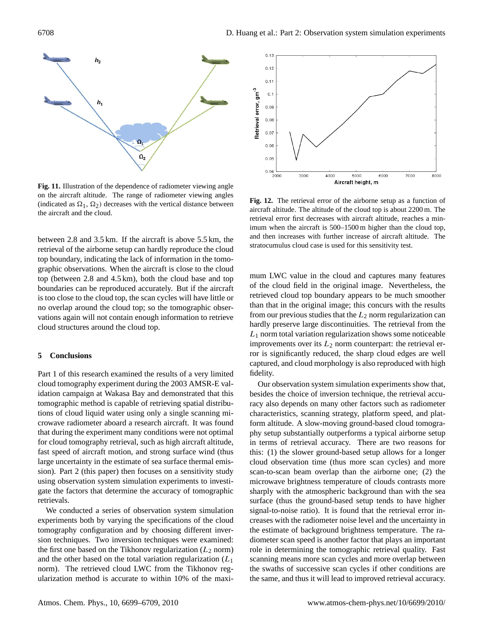

Fig. 11. Illustration of the dependence of radiometer viewing angle on the aircraft altitude. The range of radiometer viewing angles (indicated as  $\Omega_1$ ,  $\Omega_2$ ) decreases with the vertical distance between the aircraft and the cloud.

between 2.8 and 3.5 km. If the aircraft is above 5.5 km, the retrieval of the airborne setup can hardly reproduce the cloud top boundary, indicating the lack of information in the tomographic observations. When the aircraft is close to the cloud top (between 2.8 and 4.5 km), both the cloud base and top boundaries can be reproduced accurately. But if the aircraft is too close to the cloud top, the scan cycles will have little or no overlap around the cloud top; so the tomographic observations again will not contain enough information to retrieve cloud structures around the cloud top.

#### **5 Conclusions**

Part 1 of this research examined the results of a very limited cloud tomography experiment during the 2003 AMSR-E validation campaign at Wakasa Bay and demonstrated that this tomographic method is capable of retrieving spatial distributions of cloud liquid water using only a single scanning microwave radiometer aboard a research aircraft. It was found that during the experiment many conditions were not optimal for cloud tomography retrieval, such as high aircraft altitude, fast speed of aircraft motion, and strong surface wind (thus large uncertainty in the estimate of sea surface thermal emission). Part 2 (this paper) then focuses on a sensitivity study using observation system simulation experiments to investigate the factors that determine the accuracy of tomographic retrievals.

We conducted a series of observation system simulation experiments both by varying the specifications of the cloud tomography configuration and by choosing different inversion techniques. Two inversion techniques were examined: the first one based on the Tikhonov regularization  $(L_2 \text{ norm})$ and the other based on the total variation regularization  $(L_1)$ norm). The retrieved cloud LWC from the Tikhonov regularization method is accurate to within 10% of the maxi-



Fig. 12. The retrieval error of the airborne setup as a function of aircraft altitude. The altitude of the cloud top is about 2200 m. The retrieval error first decreases with aircraft altitude, reaches a minimum when the aircraft is 500–1500 m higher than the cloud top, and then increases with further increase of aircraft altitude. The stratocumulus cloud case is used for this sensitivity test.

 $L_1$  norm total variation regularization shows some noticeable mum LWC value in the cloud and captures many features of the cloud field in the original image. Nevertheless, the retrieved cloud top boundary appears to be much smoother than that in the original image; this concurs with the results from our previous studies that the  $L_2$  norm regularization can hardly preserve large discontinuities. The retrieval from the improvements over its  $L_2$  norm counterpart: the retrieval error is significantly reduced, the sharp cloud edges are well captured, and cloud morphology is also reproduced with high fidelity.

Our observation system simulation experiments show that, besides the choice of inversion technique, the retrieval accuracy also depends on many other factors such as radiometer characteristics, scanning strategy, platform speed, and platform altitude. A slow-moving ground-based cloud tomography setup substantially outperforms a typical airborne setup in terms of retrieval accuracy. There are two reasons for this: (1) the slower ground-based setup allows for a longer cloud observation time (thus more scan cycles) and more scan-to-scan beam overlap than the airborne one; (2) the microwave brightness temperature of clouds contrasts more sharply with the atmospheric background than with the sea surface (thus the ground-based setup tends to have higher signal-to-noise ratio). It is found that the retrieval error increases with the radiometer noise level and the uncertainty in the estimate of background brightness temperature. The radiometer scan speed is another factor that plays an important role in determining the tomographic retrieval quality. Fast scanning means more scan cycles and more overlap between the swaths of successive scan cycles if other conditions are the same, and thus it will lead to improved retrieval accuracy.